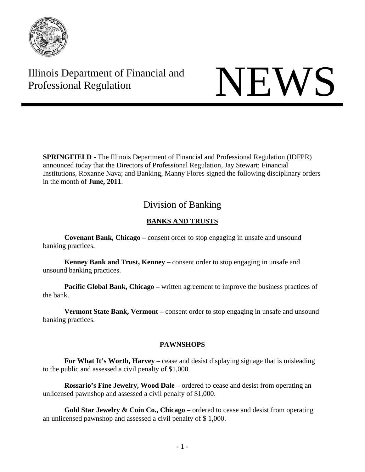

# Illinois Department of Financial and Illinois Department of Financial and<br>Professional Regulation

**SPRINGFIELD** - The Illinois Department of Financial and Professional Regulation (IDFPR) announced today that the Directors of Professional Regulation, Jay Stewart; Financial Institutions, Roxanne Nava; and Banking, Manny Flores signed the following disciplinary orders in the month of **June, 2011**.

# Division of Banking

## **BANKS AND TRUSTS**

 **Covenant Bank, Chicago –** consent order to stop engaging in unsafe and unsound banking practices.

 **Kenney Bank and Trust, Kenney –** consent order to stop engaging in unsafe and unsound banking practices.

**Pacific Global Bank, Chicago –** written agreement to improve the business practices of the bank.

**Vermont State Bank, Vermont –** consent order to stop engaging in unsafe and unsound banking practices.

#### **PAWNSHOPS**

**For What It's Worth, Harvey –** cease and desist displaying signage that is misleading to the public and assessed a civil penalty of \$1,000.

**Rossario's Fine Jewelry, Wood Dale** – ordered to cease and desist from operating an unlicensed pawnshop and assessed a civil penalty of \$1,000.

**Gold Star Jewelry & Coin Co., Chicago** – ordered to cease and desist from operating an unlicensed pawnshop and assessed a civil penalty of \$ 1,000.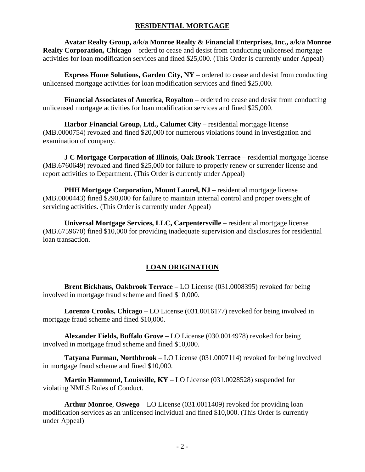#### **RESIDENTIAL MORTGAGE**

**Avatar Realty Group, a/k/a Monroe Realty & Financial Enterprises, Inc., a/k/a Monroe Realty Corporation, Chicago** – orderd to cease and desist from conducting unlicensed mortgage activities for loan modification services and fined \$25,000. (This Order is currently under Appeal)

**Express Home Solutions, Garden City, NY** – ordered to cease and desist from conducting unlicensed mortgage activities for loan modification services and fined \$25,000.

**Financial Associates of America, Royalton** – ordered to cease and desist from conducting unlicensed mortgage activities for loan modification services and fined \$25,000.

Harbor Financial Group, Ltd., Calumet City – residential mortgage license (MB.0000754) revoked and fined \$20,000 for numerous violations found in investigation and examination of company.

**J C Mortgage Corporation of Illinois, Oak Brook Terrace** – residential mortgage license (MB.6760649) revoked and fined \$25,000 for failure to properly renew or surrender license and report activities to Department. (This Order is currently under Appeal)

**PHH Mortgage Corporation, Mount Laurel, NJ** – residential mortgage license (MB.0000443) fined \$290,000 for failure to maintain internal control and proper oversight of servicing activities. (This Order is currently under Appeal)

**Universal Mortgage Services, LLC, Carpentersville** – residential mortgage license (MB.6759670) fined \$10,000 for providing inadequate supervision and disclosures for residential loan transaction.

#### **LOAN ORIGINATION**

**Brent Bickhaus, Oakbrook Terrace** – LO License (031.0008395) revoked for being involved in mortgage fraud scheme and fined \$10,000.

**Lorenzo Crooks, Chicago** – LO License (031.0016177) revoked for being involved in mortgage fraud scheme and fined \$10,000.

**Alexander Fields, Buffalo Grove** – LO License (030.0014978) revoked for being involved in mortgage fraud scheme and fined \$10,000.

**Tatyana Furman, Northbrook** – LO License (031.0007114) revoked for being involved in mortgage fraud scheme and fined \$10,000.

**Martin Hammond, Louisville, KY** – LO License (031.0028528) suspended for violating NMLS Rules of Conduct.

**Arthur Monroe**, **Oswego** – LO License (031.0011409) revoked for providing loan modification services as an unlicensed individual and fined \$10,000. (This Order is currently under Appeal)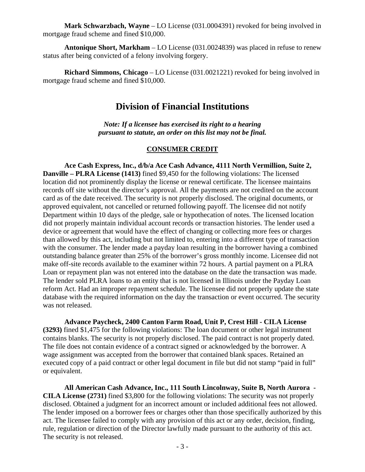**Mark Schwarzbach, Wayne** – LO License (031.0004391) revoked for being involved in mortgage fraud scheme and fined \$10,000.

**Antonique Short, Markham** – LO License (031.0024839) was placed in refuse to renew status after being convicted of a felony involving forgery.

**Richard Simmons, Chicago** – LO License (031.0021221) revoked for being involved in mortgage fraud scheme and fined \$10,000.

# **Division of Financial Institutions**

*Note: If a licensee has exercised its right to a hearing pursuant to statute, an order on this list may not be final.* 

#### **CONSUMER CREDIT**

**Ace Cash Express, Inc., d/b/a Ace Cash Advance, 4111 North Vermillion, Suite 2, Danville – PLRA License (1413)** fined \$9,450 for the following violations: The licensed location did not prominently display the license or renewal certificate. The licensee maintains records off site without the director's approval. All the payments are not credited on the account card as of the date received. The security is not properly disclosed. The original documents, or approved equivalent, not cancelled or returned following payoff. The licensee did not notify Department within 10 days of the pledge, sale or hypothecation of notes. The licensed location did not properly maintain individual account records or transaction histories. The lender used a device or agreement that would have the effect of changing or collecting more fees or charges than allowed by this act, including but not limited to, entering into a different type of transaction with the consumer. The lender made a payday loan resulting in the borrower having a combined outstanding balance greater than 25% of the borrower's gross monthly income. Licensee did not make off-site records available to the examiner within 72 hours. A partial payment on a PLRA Loan or repayment plan was not entered into the database on the date the transaction was made. The lender sold PLRA loans to an entity that is not licensed in Illinois under the Payday Loan reform Act. Had an improper repayment schedule. The licensee did not properly update the state database with the required information on the day the transaction or event occurred. The security was not released.

**Advance Paycheck, 2400 Canton Farm Road, Unit P, Crest Hill - CILA License (3293)** fined \$1,475 for the following violations: The loan document or other legal instrument contains blanks. The security is not properly disclosed. The paid contract is not properly dated. The file does not contain evidence of a contract signed or acknowledged by the borrower. A wage assignment was accepted from the borrower that contained blank spaces. Retained an executed copy of a paid contract or other legal document in file but did not stamp "paid in full" or equivalent.

**All American Cash Advance, Inc., 111 South Lincolnway, Suite B, North Aurora - CILA License (2731)** fined \$3,800 for the following violations: The security was not properly disclosed. Obtained a judgment for an incorrect amount or included additional fees not allowed. The lender imposed on a borrower fees or charges other than those specifically authorized by this act. The licensee failed to comply with any provision of this act or any order, decision, finding, rule, regulation or direction of the Director lawfully made pursuant to the authority of this act. The security is not released.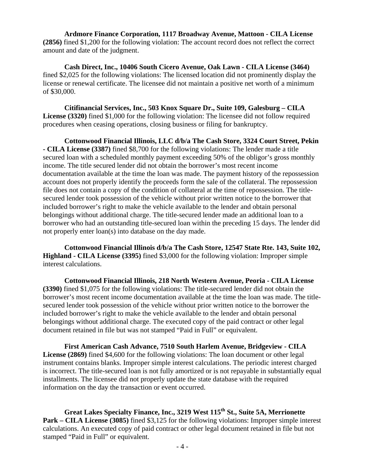**Ardmore Finance Corporation, 1117 Broadway Avenue, Mattoon - CILA License (2856)** fined \$1,200 for the following violation: The account record does not reflect the correct amount and date of the judgment.

**Cash Direct, Inc., 10406 South Cicero Avenue, Oak Lawn - CILA License (3464)** fined \$2,025 for the following violations: The licensed location did not prominently display the license or renewal certificate. The licensee did not maintain a positive net worth of a minimum of \$30,000.

**Citifinancial Services, Inc., 503 Knox Square Dr., Suite 109, Galesburg – CILA License (3320)** fined \$1,000 for the following violation: The licensee did not follow required procedures when ceasing operations, closing business or filing for bankruptcy.

**Cottonwood Financial Illinois, LLC d/b/a The Cash Store, 3324 Court Street, Pekin - CILA License (3387)** fined \$8,700 for the following violations: The lender made a title secured loan with a scheduled monthly payment exceeding 50% of the obligor's gross monthly income. The title secured lender did not obtain the borrower's most recent income documentation available at the time the loan was made. The payment history of the repossession account does not properly identify the proceeds form the sale of the collateral. The repossession file does not contain a copy of the condition of collateral at the time of repossession. The titlesecured lender took possession of the vehicle without prior written notice to the borrower that included borrower's right to make the vehicle available to the lender and obtain personal belongings without additional charge. The title-secured lender made an additional loan to a borrower who had an outstanding title-secured loan within the preceding 15 days. The lender did not properly enter loan(s) into database on the day made.

**Cottonwood Financial Illinois d/b/a The Cash Store, 12547 State Rte. 143, Suite 102, Highland - CILA License (3395)** fined \$3,000 for the following violation: Improper simple interest calculations.

**Cottonwood Financial Illinois, 218 North Western Avenue, Peoria - CILA License (3390)** fined \$1,075 for the following violations: The title-secured lender did not obtain the borrower's most recent income documentation available at the time the loan was made. The titlesecured lender took possession of the vehicle without prior written notice to the borrower the included borrower's right to make the vehicle available to the lender and obtain personal belongings without additional charge. The executed copy of the paid contract or other legal document retained in file but was not stamped "Paid in Full" or equivalent.

**First American Cash Advance, 7510 South Harlem Avenue, Bridgeview - CILA License (2869)** fined \$4,600 for the following violations: The loan document or other legal instrument contains blanks. Improper simple interest calculations. The periodic interest charged is incorrect. The title-secured loan is not fully amortized or is not repayable in substantially equal installments. The licensee did not properly update the state database with the required information on the day the transaction or event occurred.

**Great Lakes Specialty Finance, Inc., 3219 West 115th St., Suite 5A, Merrionette Park – CILA License (3085)** fined \$3,125 for the following violations: Improper simple interest calculations. An executed copy of paid contract or other legal document retained in file but not stamped "Paid in Full" or equivalent.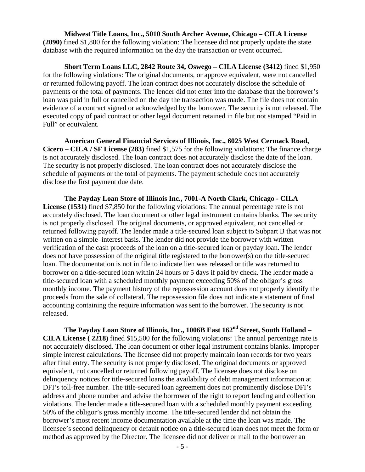**Midwest Title Loans, Inc., 5010 South Archer Avenue, Chicago – CILA License (2090)** fined \$1,800 for the following violation: The licensee did not properly update the state database with the required information on the day the transaction or event occurred.

**Short Term Loans LLC, 2842 Route 34, Oswego – CILA License (3412)** fined \$1,950 for the following violations: The original documents, or approve equivalent, were not cancelled or returned following payoff. The loan contract does not accurately disclose the schedule of payments or the total of payments. The lender did not enter into the database that the borrower's loan was paid in full or cancelled on the day the transaction was made. The file does not contain evidence of a contract signed or acknowledged by the borrower. The security is not released. The executed copy of paid contract or other legal document retained in file but not stamped "Paid in Full" or equivalent.

**American General Financial Services of Illinois, Inc., 6025 West Cermack Road, Cicero – CILA / SF License (283)** fined \$1,575 for the following violations: The finance charge is not accurately disclosed. The loan contract does not accurately disclose the date of the loan. The security is not properly disclosed. The loan contract does not accurately disclose the schedule of payments or the total of payments. The payment schedule does not accurately disclose the first payment due date.

**The Payday Loan Store of Illinois Inc., 7001-A North Clark, Chicago - CILA License (1531)** fined \$7,850 for the following violations: The annual percentage rate is not accurately disclosed. The loan document or other legal instrument contains blanks. The security is not properly disclosed. The original documents, or approved equivalent, not cancelled or returned following payoff. The lender made a title-secured loan subject to Subpart B that was not written on a simple–interest basis. The lender did not provide the borrower with written verification of the cash proceeds of the loan on a title-secured loan or payday loan. The lender does not have possession of the original title registered to the borrower(s) on the title-secured loan. The documentation is not in file to indicate lien was released or title was returned to borrower on a title-secured loan within 24 hours or 5 days if paid by check. The lender made a title-secured loan with a scheduled monthly payment exceeding 50% of the obligor's gross monthly income. The payment history of the repossession account does not properly identify the proceeds from the sale of collateral. The repossession file does not indicate a statement of final accounting containing the require information was sent to the borrower. The security is not released.

The Payday Loan Store of Illinois, Inc., 1006B East 162<sup>nd</sup> Street, South Holland – **CILA License ( 2218)** fined \$15,500 for the following violations: The annual percentage rate is not accurately disclosed. The loan document or other legal instrument contains blanks. Improper simple interest calculations. The licensee did not properly maintain loan records for two years after final entry. The security is not properly disclosed. The original documents or approved equivalent, not cancelled or returned following payoff. The licensee does not disclose on delinquency notices for title-secured loans the availability of debt management information at DFI's toll-free number. The title-secured loan agreement does not prominently disclose DFI's address and phone number and advise the borrower of the right to report lending and collection violations. The lender made a title-secured loan with a scheduled monthly payment exceeding 50% of the obligor's gross monthly income. The title-secured lender did not obtain the borrower's most recent income documentation available at the time the loan was made. The licensee's second delinquency or default notice on a title-secured loan does not meet the form or method as approved by the Director. The licensee did not deliver or mail to the borrower an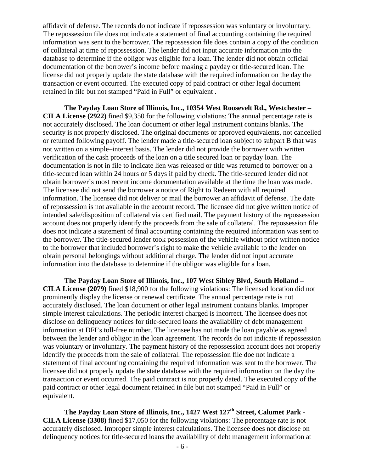affidavit of defense. The records do not indicate if repossession was voluntary or involuntary. The repossession file does not indicate a statement of final accounting containing the required information was sent to the borrower. The repossession file does contain a copy of the condition of collateral at time of repossession. The lender did not input accurate information into the database to determine if the obligor was eligible for a loan. The lender did not obtain official documentation of the borrower's income before making a payday or title-secured loan. The license did not properly update the state database with the required information on the day the transaction or event occurred. The executed copy of paid contract or other legal document retained in file but not stamped "Paid in Full" or equivalent .

**The Payday Loan Store of Illinois, Inc., 10354 West Roosevelt Rd., Westchester – CILA License (2922)** fined \$9,350 for the following violations: The annual percentage rate is not accurately disclosed. The loan document or other legal instrument contains blanks. The security is not properly disclosed. The original documents or approved equivalents, not cancelled or returned following payoff. The lender made a title-secured loan subject to subpart B that was not written on a simple–interest basis. The lender did not provide the borrower with written verification of the cash proceeds of the loan on a title secured loan or payday loan. The documentation is not in file to indicate lien was released or title was returned to borrower on a title-secured loan within 24 hours or 5 days if paid by check. The title-secured lender did not obtain borrower's most recent income documentation available at the time the loan was made. The licensee did not send the borrower a notice of Right to Redeem with all required information. The licensee did not deliver or mail the borrower an affidavit of defense. The date of repossession is not available in the account record. The licensee did not give written notice of intended sale/disposition of collateral via certified mail. The payment history of the repossession account does not properly identify the proceeds from the sale of collateral. The repossession file does not indicate a statement of final accounting containing the required information was sent to the borrower. The title-secured lender took possession of the vehicle without prior written notice to the borrower that included borrower's right to make the vehicle available to the lender on obtain personal belongings without additional charge. The lender did not input accurate information into the database to determine if the obligor was eligible for a loan.

**The Payday Loan Store of Illinois, Inc., 107 West Sibley Blvd, South Holland – CILA License (2079)** fined \$18,900 for the following violations: The licensed location did not prominently display the license or renewal certificate. The annual percentage rate is not accurately disclosed. The loan document or other legal instrument contains blanks. Improper simple interest calculations. The periodic interest charged is incorrect. The licensee does not disclose on delinquency notices for title-secured loans the availability of debt management information at DFI's toll-free number. The licensee has not made the loan payable as agreed between the lender and obligor in the loan agreement. The records do not indicate if repossession was voluntary or involuntary. The payment history of the repossession account does not properly identify the proceeds from the sale of collateral. The repossession file doe not indicate a statement of final accounting containing the required information was sent to the borrower. The licensee did not properly update the state database with the required information on the day the transaction or event occurred. The paid contract is not properly dated. The executed copy of the paid contract or other legal document retained in file but not stamped "Paid in Full" or equivalent.

The Payday Loan Store of Illinois, Inc., 1427 West 127<sup>th</sup> Street, Calumet Park -**CILA License (3308)** fined \$17,050 for the following violations: The percentage rate is not accurately disclosed. Improper simple interest calculations. The licensee does not disclose on delinquency notices for title-secured loans the availability of debt management information at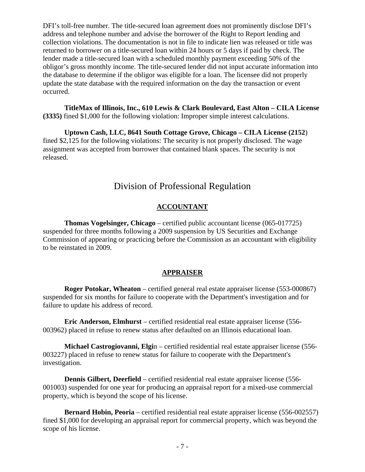DFI's toll-free number. The title-secured loan agreement does not prominently disclose DFI's address and telephone number and advise the borrower of the Right to Report lending and collection violations. The documentation is not in file to indicate lien was released or title was returned to borrower on a title-secured loan within 24 hours or 5 days if paid by check. The lender made a title-secured loan with a scheduled monthly payment exceeding 50% of the obligor's gross monthly income. The title-secured lender did not input accurate information into the database to determine if the obligor was eligible for a loan. The licensee did not properly update the state database with the required information on the day the transaction or event occurred.

**TitleMax of Illinois, Inc., 610 Lewis & Clark Boulevard, East Alton – CILA License (3335)** fined \$1,000 for the following violation: Improper simple interest calculations.

**Uptown Cash, LLC, 8641 South Cottage Grove, Chicago – CILA License (2152**) fined \$2,125 for the following violations: The security is not properly disclosed. The wage assignment was accepted from borrower that contained blank spaces. The security is not released.

# Division of Professional Regulation

#### **ACCOUNTANT**

 **Thomas Vogelsinger, Chicago** – certified public accountant license (065-017725) suspended for three months following a 2009 suspension by US Securities and Exchange Commission of appearing or practicing before the Commission as an accountant with eligibility to be reinstated in 2009.

#### **APPRAISER**

**Roger Potokar, Wheaton** – certified general real estate appraiser license (553-000867) suspended for six months for failure to cooperate with the Department's investigation and for failure to update his address of record.

 **Eric Anderson, Elmhurst** – certified residential real estate appraiser license (556- 003962) placed in refuse to renew status after defaulted on an Illinois educational loan.

 **Michael Castrogiovanni, Elgi**n – certified residential real estate appraiser license (556- 003227) placed in refuse to renew status for failure to cooperate with the Department's investigation.

**Dennis Gilbert, Deerfield** – certified residential real estate appraiser license (556-001003) suspended for one year for producing an appraisal report for a mixed-use commercial property, which is beyond the scope of his license.

**Bernard Hobin, Peoria** – certified residential real estate appraiser license (556-002557) fined \$1,000 for developing an appraisal report for commercial property, which was beyond the scope of his license.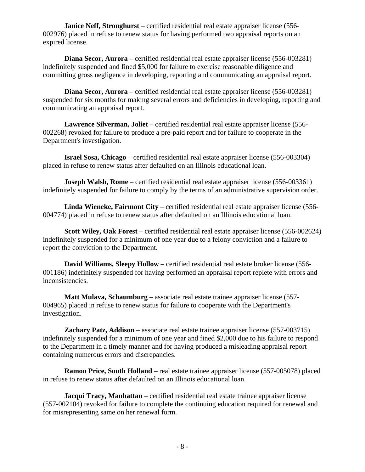**Janice Neff, Stronghurst** – certified residential real estate appraiser license (556- 002976) placed in refuse to renew status for having performed two appraisal reports on an expired license.

 **Diana Secor, Aurora** – certified residential real estate appraiser license (556-003281) indefinitely suspended and fined \$5,000 for failure to exercise reasonable diligence and committing gross negligence in developing, reporting and communicating an appraisal report.

 **Diana Secor, Aurora** – certified residential real estate appraiser license (556-003281) suspended for six months for making several errors and deficiencies in developing, reporting and communicating an appraisal report.

 **Lawrence Silverman, Joliet** – certified residential real estate appraiser license (556- 002268) revoked for failure to produce a pre-paid report and for failure to cooperate in the Department's investigation.

 **Israel Sosa, Chicago** – certified residential real estate appraiser license (556-003304) placed in refuse to renew status after defaulted on an Illinois educational loan.

**Joseph Walsh, Rome** – certified residential real estate appraiser license (556-003361) indefinitely suspended for failure to comply by the terms of an administrative supervision order.

 **Linda Wieneke, Fairmont City** – certified residential real estate appraiser license (556- 004774) placed in refuse to renew status after defaulted on an Illinois educational loan.

 **Scott Wiley, Oak Forest** – certified residential real estate appraiser license (556-002624) indefinitely suspended for a minimum of one year due to a felony conviction and a failure to report the conviction to the Department.

 **David Williams, Sleepy Hollow** – certified residential real estate broker license (556- 001186) indefinitely suspended for having performed an appraisal report replete with errors and inconsistencies.

 **Matt Mulava, Schaumburg** – associate real estate trainee appraiser license (557- 004965) placed in refuse to renew status for failure to cooperate with the Department's investigation.

 **Zachary Patz, Addison** – associate real estate trainee appraiser license (557-003715) indefinitely suspended for a minimum of one year and fined \$2,000 due to his failure to respond to the Department in a timely manner and for having produced a misleading appraisal report containing numerous errors and discrepancies.

 **Ramon Price, South Holland** – real estate trainee appraiser license (557-005078) placed in refuse to renew status after defaulted on an Illinois educational loan.

**Jacqui Tracy, Manhattan** – certified residential real estate trainee appraiser license (557-002104) revoked for failure to complete the continuing education required for renewal and for misrepresenting same on her renewal form.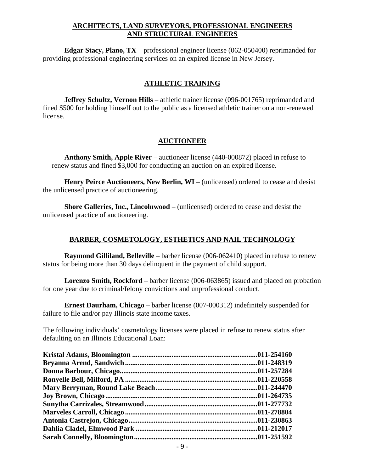#### **ARCHITECTS, LAND SURVEYORS, PROFESSIONAL ENGINEERS AND STRUCTURAL ENGINEERS**

 **Edgar Stacy, Plano, TX** – professional engineer license (062-050400) reprimanded for providing professional engineering services on an expired license in New Jersey.

#### **ATHLETIC TRAINING**

**Jeffrey Schultz, Vernon Hills** – athletic trainer license (096-001765) reprimanded and fined \$500 for holding himself out to the public as a licensed athletic trainer on a non-renewed license.

#### **AUCTIONEER**

 **Anthony Smith, Apple River** – auctioneer license (440-000872) placed in refuse to renew status and fined \$3,000 for conducting an auction on an expired license.

 **Henry Peirce Auctioneers, New Berlin, WI** – (unlicensed) ordered to cease and desist the unlicensed practice of auctioneering.

 **Shore Galleries, Inc., Lincolnwood** – (unlicensed) ordered to cease and desist the unlicensed practice of auctioneering.

#### **BARBER, COSMETOLOGY, ESTHETICS AND NAIL TECHNOLOGY**

 **Raymond Gilliland, Belleville** – barber license (006-062410) placed in refuse to renew status for being more than 30 days delinquent in the payment of child support.

 **Lorenzo Smith, Rockford** – barber license (006-063865) issued and placed on probation for one year due to criminal/felony convictions and unprofessional conduct.

 **Ernest Daurham, Chicago** – barber license (007-000312) indefinitely suspended for failure to file and/or pay Illinois state income taxes.

The following individuals' cosmetology licenses were placed in refuse to renew status after defaulting on an Illinois Educational Loan: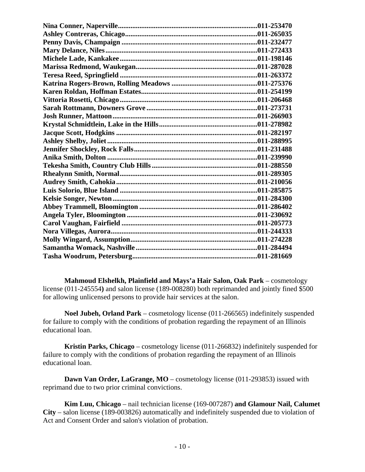**Mahmoud Elshelkh, Plainfield and Mays'a Hair Salon, Oak Park** – cosmetology license (011-245554**)** and salon license (189-008280) both reprimanded and jointly fined \$500 for allowing unlicensed persons to provide hair services at the salon.

 **Noel Jubeh, Orland Park** – cosmetology license (011-266565) indefinitely suspended for failure to comply with the conditions of probation regarding the repayment of an Illinois educational loan.

 **Kristin Parks, Chicago** – cosmetology license (011-266832) indefinitely suspended for failure to comply with the conditions of probation regarding the repayment of an Illinois educational loan.

**Dawn Van Order, LaGrange, MO** – cosmetology license (011-293853) issued with reprimand due to two prior criminal convictions.

 **Kim Luu, Chicago** – nail technician license (169-007287) **and Glamour Nail, Calumet City** – salon license (189-003826) automatically and indefinitely suspended due to violation of Act and Consent Order and salon's violation of probation.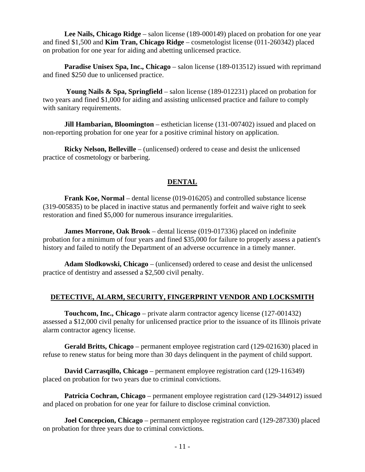**Lee Nails, Chicago Ridge** – salon license (189-000149) placed on probation for one year and fined \$1,500 and **Kim Tran, Chicago Ridge** – cosmetologist license (011-260342) placed on probation for one year for aiding and abetting unlicensed practice.

 **Paradise Unisex Spa, Inc., Chicago** – salon license (189-013512) issued with reprimand and fined \$250 due to unlicensed practice.

 **Young Nails & Spa, Springfield** – salon license (189-012231) placed on probation for two years and fined \$1,000 for aiding and assisting unlicensed practice and failure to comply with sanitary requirements.

**Jill Hambarian, Bloomington** – esthetician license (131-007402) issued and placed on non-reporting probation for one year for a positive criminal history on application.

 **Ricky Nelson, Belleville** – (unlicensed) ordered to cease and desist the unlicensed practice of cosmetology or barbering.

#### **DENTAL**

 **Frank Koe, Normal** – dental license (019-016205) and controlled substance license (319-005835) to be placed in inactive status and permanently forfeit and waive right to seek restoration and fined \$5,000 for numerous insurance irregularities.

 **James Morrone, Oak Brook** – dental license (019-017336) placed on indefinite probation for a minimum of four years and fined \$35,000 for failure to properly assess a patient's history and failed to notify the Department of an adverse occurrence in a timely manner.

 **Adam Slodkowski, Chicago** – (unlicensed) ordered to cease and desist the unlicensed practice of dentistry and assessed a \$2,500 civil penalty.

#### **DETECTIVE, ALARM, SECURITY, FINGERPRINT VENDOR AND LOCKSMITH**

 **Touchcom, Inc., Chicago** – private alarm contractor agency license (127-001432) assessed a \$12,000 civil penalty for unlicensed practice prior to the issuance of its Illinois private alarm contractor agency license.

 **Gerald Britts, Chicago** – permanent employee registration card (129-021630) placed in refuse to renew status for being more than 30 days delinquent in the payment of child support.

 **David Carrasqillo, Chicago** – permanent employee registration card (129-116349) placed on probation for two years due to criminal convictions.

 **Patricia Cochran, Chicago** – permanent employee registration card (129-344912) issued and placed on probation for one year for failure to disclose criminal conviction.

 **Joel Concepcion, Chicago** – permanent employee registration card (129-287330) placed on probation for three years due to criminal convictions.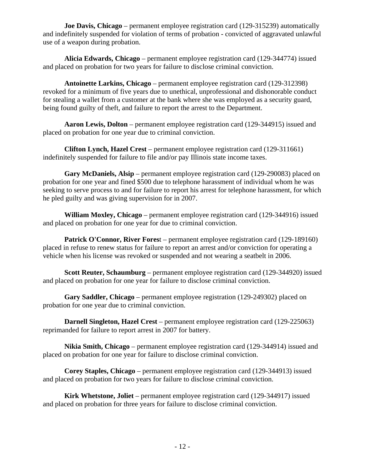**Joe Davis, Chicago** – permanent employee registration card (129-315239) automatically and indefinitely suspended for violation of terms of probation - convicted of aggravated unlawful use of a weapon during probation.

 **Alicia Edwards, Chicago** – permanent employee registration card (129-344774) issued and placed on probation for two years for failure to disclose criminal conviction.

 **Antoinette Larkins, Chicago** – permanent employee registration card (129-312398) revoked for a minimum of five years due to unethical, unprofessional and dishonorable conduct for stealing a wallet from a customer at the bank where she was employed as a security guard, being found guilty of theft, and failure to report the arrest to the Department.

 **Aaron Lewis, Dolton** – permanent employee registration card (129-344915) issued and placed on probation for one year due to criminal conviction.

 **Clifton Lynch, Hazel Crest** – permanent employee registration card (129-311661) indefinitely suspended for failure to file and/or pay Illinois state income taxes.

 **Gary McDaniels, Alsip** – permanent employee registration card (129-290083) placed on probation for one year and fined \$500 due to telephone harassment of individual whom he was seeking to serve process to and for failure to report his arrest for telephone harassment, for which he pled guilty and was giving supervision for in 2007.

 **William Moxley, Chicago** – permanent employee registration card (129-344916) issued and placed on probation for one year for due to criminal conviction.

**Patrick O'Connor, River Forest** – permanent employee registration card (129-189160) placed in refuse to renew status for failure to report an arrest and/or conviction for operating a vehicle when his license was revoked or suspended and not wearing a seatbelt in 2006.

 **Scott Reuter, Schaumburg** – permanent employee registration card (129-344920) issued and placed on probation for one year for failure to disclose criminal conviction.

 **Gary Saddler, Chicago** – permanent employee registration (129-249302) placed on probation for one year due to criminal conviction.

 **Darnell Singleton, Hazel Crest** – permanent employee registration card (129-225063) reprimanded for failure to report arrest in 2007 for battery.

 **Nikia Smith, Chicago** – permanent employee registration card (129-344914) issued and placed on probation for one year for failure to disclose criminal conviction.

 **Corey Staples, Chicago** – permanent employee registration card (129-344913) issued and placed on probation for two years for failure to disclose criminal conviction.

 **Kirk Whetstone, Joliet** – permanent employee registration card (129-344917) issued and placed on probation for three years for failure to disclose criminal conviction.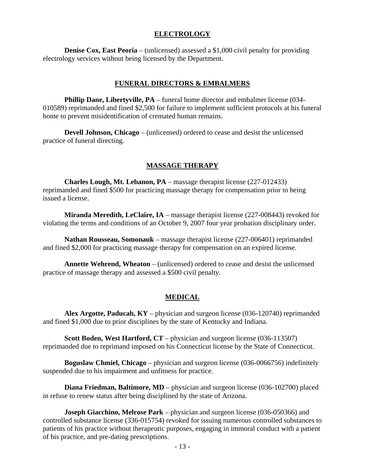#### **ELECTROLOGY**

**Denise Cox, East Peoria** – (unlicensed) assessed a \$1,000 civil penalty for providing electrology services without being licensed by the Department.

#### **FUNERAL DIRECTORS & EMBALMERS**

 **Phillip Dane, Libertyville, PA** – funeral home director and embalmer license (034- 010589) reprimanded and fined \$2,500 for failure to implement sufficient protocols at his funeral home to prevent misidentification of cremated human remains.

 **Devell Johnson, Chicago** – (unlicensed) ordered to cease and desist the unlicensed practice of funeral directing.

#### **MASSAGE THERAPY**

 **Charles Lough, Mt. Lebanon, PA** – massage therapist license (227-012433) reprimanded and fined \$500 for practicing massage therapy for compensation prior to being issued a license.

 **Miranda Meredith, LeClaire, IA** – massage therapist license (227-008443) revoked for violating the terms and conditions of an October 9, 2007 four year probation disciplinary order.

 **Nathan Rousseau, Somonauk** – massage therapist license (227-006401) reprimanded and fined \$2,000 for practicing massage therapy for compensation on an expired license.

 **Annette Wehrend, Wheaton** – (unlicensed) ordered to cease and desist the unlicensed practice of massage therapy and assessed a \$500 civil penalty.

#### **MEDICAL**

 **Alex Argotte, Paducah, KY** – physician and surgeon license (036-120740) reprimanded and fined \$1,000 due to prior disciplines by the state of Kentucky and Indiana.

**Scott Boden, West Hartford, CT** – physician and surgeon license (036-113507) reprimanded due to reprimand imposed on his Connecticut license by the State of Connecticut.

 **Boguslaw Chmiel, Chicago** – physician and surgeon license (036-0066756) indefinitely suspended due to his impairment and unfitness for practice.

**Diana Friedman, Baltimore, MD** – physician and surgeon license (036-102700) placed in refuse to renew status after being disciplined by the state of Arizona.

 **Joseph Giacchino, Melrose Park** – physician and surgeon license (036-050366) and controlled substance license (336-015754) revoked for issuing numerous controlled substances to patients of his practice without therapeutic purposes, engaging in immoral conduct with a patient of his practice, and pre-dating prescriptions.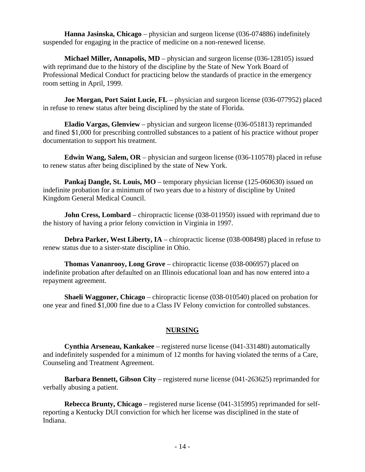**Hanna Jasinska, Chicago** – physician and surgeon license (036-074886) indefinitely suspended for engaging in the practice of medicine on a non-renewed license.

**Michael Miller, Annapolis, MD** – physician and surgeon license (036-128105) issued with reprimand due to the history of the discipline by the State of New York Board of Professional Medical Conduct for practicing below the standards of practice in the emergency room setting in April, 1999.

**Joe Morgan, Port Saint Lucie, FL** – physician and surgeon license (036-077952) placed in refuse to renew status after being disciplined by the state of Florida.

 **Eladio Vargas, Glenview** – physician and surgeon license (036-051813) reprimanded and fined \$1,000 for prescribing controlled substances to a patient of his practice without proper documentation to support his treatment.

 **Edwin Wang, Salem, OR** – physician and surgeon license (036-110578) placed in refuse to renew status after being disciplined by the state of New York.

**Pankaj Dangle, St. Louis, MO** – temporary physician license (125-060630) issued on indefinite probation for a minimum of two years due to a history of discipline by United Kingdom General Medical Council.

**John Cress, Lombard** – chiropractic license (038-011950) issued with reprimand due to the history of having a prior felony conviction in Virginia in 1997.

**Debra Parker, West Liberty, IA** – chiropractic license (038-008498) placed in refuse to renew status due to a sister-state discipline in Ohio.

 **Thomas Vananrooy, Long Grove** – chiropractic license (038-006957) placed on indefinite probation after defaulted on an Illinois educational loan and has now entered into a repayment agreement.

**Shaeli Waggoner, Chicago** – chiropractic license (038-010540) placed on probation for one year and fined \$1,000 fine due to a Class IV Felony conviction for controlled substances.

#### **NURSING**

 **Cynthia Arseneau, Kankakee** – registered nurse license (041-331480) automatically and indefinitely suspended for a minimum of 12 months for having violated the terms of a Care, Counseling and Treatment Agreement.

 **Barbara Bennett, Gibson City** – registered nurse license (041-263625) reprimanded for verbally abusing a patient.

 **Rebecca Brunty, Chicago** – registered nurse license (041-315995) reprimanded for selfreporting a Kentucky DUI conviction for which her license was disciplined in the state of Indiana.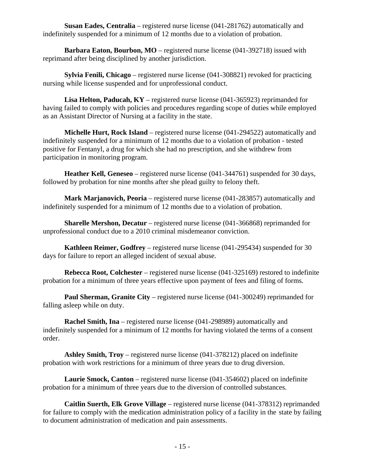**Susan Eades, Centralia** – registered nurse license (041-281762) automatically and indefinitely suspended for a minimum of 12 months due to a violation of probation.

**Barbara Eaton, Bourbon, MO** – registered nurse license (041-392718) issued with reprimand after being disciplined by another jurisdiction.

 **Sylvia Fenili, Chicago** – registered nurse license (041-308821) revoked for practicing nursing while license suspended and for unprofessional conduct.

 **Lisa Helton, Paducah, KY** – registered nurse license (041-365923) reprimanded for having failed to comply with policies and procedures regarding scope of duties while employed as an Assistant Director of Nursing at a facility in the state.

 **Michelle Hurt, Rock Island** – registered nurse license (041-294522) automatically and indefinitely suspended for a minimum of 12 months due to a violation of probation - tested positive for Fentanyl, a drug for which she had no prescription, and she withdrew from participation in monitoring program.

 **Heather Kell, Geneseo** – registered nurse license (041-344761) suspended for 30 days, followed by probation for nine months after she plead guilty to felony theft.

 **Mark Marjanovich, Peoria** – registered nurse license (041-283857) automatically and indefinitely suspended for a minimum of 12 months due to a violation of probation.

 **Sharelle Mershon, Decatur** – registered nurse license (041-366868) reprimanded for unprofessional conduct due to a 2010 criminal misdemeanor conviction.

 **Kathleen Reimer, Godfrey** – registered nurse license (041-295434) suspended for 30 days for failure to report an alleged incident of sexual abuse.

 **Rebecca Root, Colchester** – registered nurse license (041-325169) restored to indefinite probation for a minimum of three years effective upon payment of fees and filing of forms.

 **Paul Sherman, Granite City** – registered nurse license (041-300249) reprimanded for falling asleep while on duty.

 **Rachel Smith, Ina** – registered nurse license (041-298989) automatically and indefinitely suspended for a minimum of 12 months for having violated the terms of a consent order.

 **Ashley Smith, Troy** – registered nurse license (041-378212) placed on indefinite probation with work restrictions for a minimum of three years due to drug diversion.

 **Laurie Smock, Canton** – registered nurse license (041-354602) placed on indefinite probation for a minimum of three years due to the diversion of controlled substances.

 **Caitlin Suerth, Elk Grove Village** – registered nurse license (041-378312) reprimanded for failure to comply with the medication administration policy of a facility in the state by failing to document administration of medication and pain assessments.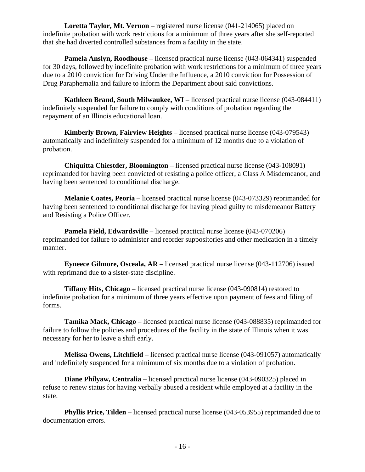**Loretta Taylor, Mt. Vernon** – registered nurse license (041-214065) placed on indefinite probation with work restrictions for a minimum of three years after she self-reported that she had diverted controlled substances from a facility in the state.

 **Pamela Anslyn, Roodhouse** – licensed practical nurse license (043-064341) suspended for 30 days, followed by indefinite probation with work restrictions for a minimum of three years due to a 2010 conviction for Driving Under the Influence, a 2010 conviction for Possession of Drug Paraphernalia and failure to inform the Department about said convictions.

**Kathleen Brand, South Milwaukee, WI** – licensed practical nurse license (043-084411) indefinitely suspended for failure to comply with conditions of probation regarding the repayment of an Illinois educational loan.

 **Kimberly Brown, Fairview Heights** – licensed practical nurse license (043-079543) automatically and indefinitely suspended for a minimum of 12 months due to a violation of probation.

 **Chiquitta Chiestder, Bloomington** – licensed practical nurse license (043-108091) reprimanded for having been convicted of resisting a police officer, a Class A Misdemeanor, and having been sentenced to conditional discharge.

 **Melanie Coates, Peoria** – licensed practical nurse license (043-073329) reprimanded for having been sentenced to conditional discharge for having plead guilty to misdemeanor Battery and Resisting a Police Officer.

 **Pamela Field, Edwardsville** – licensed practical nurse license (043-070206) reprimanded for failure to administer and reorder suppositories and other medication in a timely manner.

 **Eyneece Gilmore, Osceala, AR** – licensed practical nurse license (043-112706) issued with reprimand due to a sister-state discipline.

 **Tiffany Hits, Chicago** – licensed practical nurse license (043-090814) restored to indefinite probation for a minimum of three years effective upon payment of fees and filing of forms.

 **Tamika Mack, Chicago** – licensed practical nurse license (043-088835) reprimanded for failure to follow the policies and procedures of the facility in the state of Illinois when it was necessary for her to leave a shift early.

 **Melissa Owens, Litchfield** – licensed practical nurse license (043-091057) automatically and indefinitely suspended for a minimum of six months due to a violation of probation.

 **Diane Philyaw, Centralia** – licensed practical nurse license (043-090325) placed in refuse to renew status for having verbally abused a resident while employed at a facility in the state.

 **Phyllis Price, Tilden** – licensed practical nurse license (043-053955) reprimanded due to documentation errors.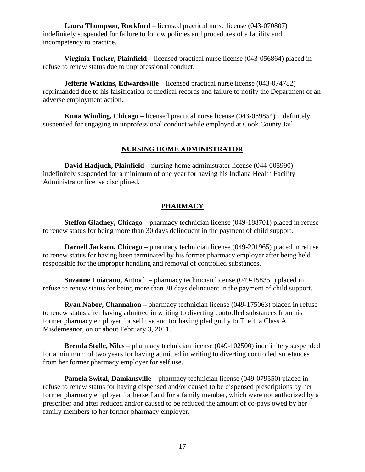**Laura Thompson, Rockford** – licensed practical nurse license (043-070807) indefinitely suspended for failure to follow policies and procedures of a facility and incompetency to practice.

 **Virginia Tucker, Plainfield** – licensed practical nurse license (043-056864) placed in refuse to renew status due to unprofessional conduct.

 **Jefferie Watkins, Edwardsville** – licensed practical nurse license (043-074782) reprimanded due to his falsification of medical records and failure to notify the Department of an adverse employment action.

 **Kuna Winding, Chicago** – licensed practical nurse license (043-089854) indefinitely suspended for engaging in unprofessional conduct while employed at Cook County Jail.

#### **NURSING HOME ADMINISTRATOR**

 **David Hadjuch, Plainfield** – nursing home administrator license (044-005990) indefinitely suspended for a minimum of one year for having his Indiana Health Facility Administrator license disciplined.

### **PHARMACY**

 **Steffon Gladney, Chicago** – pharmacy technician license (049-188701) placed in refuse to renew status for being more than 30 days delinquent in the payment of child support.

 **Darnell Jackson, Chicago** – pharmacy technician license (049-201965) placed in refuse to renew status for having been terminated by his former pharmacy employer after being held responsible for the improper handling and removal of controlled substances.

 **Suzanne Loiacano,** Antioch – pharmacy technician license (049-158351) placed in refuse to renew status for being more than 30 days delinquent in the payment of child support.

 **Ryan Nabor, Channahon** – pharmacy technician license (049-175063) placed in refuse to renew status after having admitted in writing to diverting controlled substances from his former pharmacy employer for self use and for having pled guilty to Theft, a Class A Misdemeanor, on or about February 3, 2011.

 **Brenda Stolle, Niles** – pharmacy technician license (049-102500) indefinitely suspended for a minimum of two years for having admitted in writing to diverting controlled substances from her former pharmacy employer for self use.

 **Pamela Swital, Damiansville** – pharmacy technician license (049-079550) placed in refuse to renew status for having dispensed and/or caused to be dispensed prescriptions by her former pharmacy employer for herself and for a family member, which were not authorized by a prescriber and after reduced and/or caused to be reduced the amount of co-pays owed by her family members to her former pharmacy employer.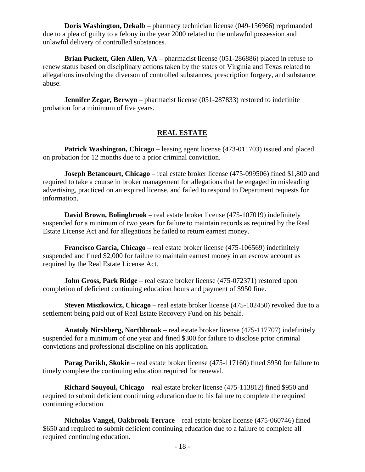**Doris Washington, Dekalb** – pharmacy technician license (049-156966) reprimanded due to a plea of guilty to a felony in the year 2000 related to the unlawful possession and unlawful delivery of controlled substances.

 **Brian Puckett, Glen Allen, VA** – pharmacist license (051-286886) placed in refuse to renew status based on disciplinary actions taken by the states of Virginia and Texas related to allegations involving the diverson of controlled substances, prescription forgery, and substance abuse.

**Jennifer Zegar, Berwyn** – pharmacist license (051-287833) restored to indefinite probation for a minimum of five years.

#### **REAL ESTATE**

**Patrick Washington, Chicago** – leasing agent license (473-011703) issued and placed on probation for 12 months due to a prior criminal conviction.

**Joseph Betancourt, Chicago** – real estate broker license (475-099506) fined \$1,800 and required to take a course in broker management for allegations that he engaged in misleading advertising, practiced on an expired license, and failed to respond to Department requests for information.

 **David Brown, Bolingbrook** – real estate broker license (475-107019) indefinitely suspended for a minimum of two years for failure to maintain records as required by the Real Estate License Act and for allegations he failed to return earnest money.

 **Francisco Garcia, Chicago** – real estate broker license (475-106569) indefinitely suspended and fined \$2,000 for failure to maintain earnest money in an escrow account as required by the Real Estate License Act.

**John Gross, Park Ridge** – real estate broker license (475-072371) restored upon completion of deficient continuing education hours and payment of \$950 fine.

**Steven Miszkowicz, Chicago** – real estate broker license (475-102450) revoked due to a settlement being paid out of Real Estate Recovery Fund on his behalf.

 **Anatoly Nirshberg, Northbrook** – real estate broker license (475-117707) indefinitely suspended for a minimum of one year and fined \$300 for failure to disclose prior criminal convictions and professional discipline on his application.

 **Parag Parikh, Skokie** – real estate broker license (475-117160) fined \$950 for failure to timely complete the continuing education required for renewal.

 **Richard Souyoul, Chicago** – real estate broker license (475-113812) fined \$950 and required to submit deficient continuing education due to his failure to complete the required continuing education.

 **Nicholas Vangel, Oakbrook Terrace** – real estate broker license (475-060746) fined \$650 and required to submit deficient continuing education due to a failure to complete all required continuing education.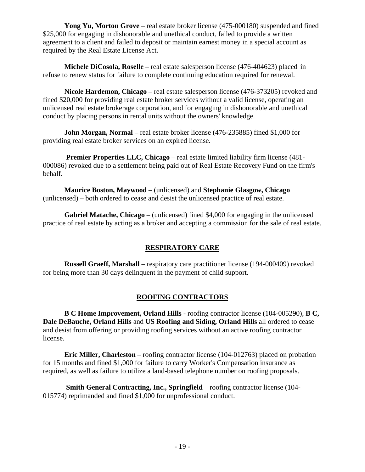**Yong Yu, Morton Grove** – real estate broker license (475-000180) suspended and fined \$25,000 for engaging in dishonorable and unethical conduct, failed to provide a written agreement to a client and failed to deposit or maintain earnest money in a special account as required by the Real Estate License Act.

 **Michele DiCosola, Roselle** – real estate salesperson license (476-404623) placed in refuse to renew status for failure to complete continuing education required for renewal.

 **Nicole Hardemon, Chicago** – real estate salesperson license (476-373205) revoked and fined \$20,000 for providing real estate broker services without a valid license, operating an unlicensed real estate brokerage corporation, and for engaging in dishonorable and unethical conduct by placing persons in rental units without the owners' knowledge.

 **John Morgan, Normal** – real estate broker license (476-235885) fined \$1,000 for providing real estate broker services on an expired license.

 **Premier Properties LLC, Chicago** – real estate limited liability firm license (481- 000086) revoked due to a settlement being paid out of Real Estate Recovery Fund on the firm's behalf.

 **Maurice Boston, Maywood** – (unlicensed) and **Stephanie Glasgow, Chicago** (unlicensed) – both ordered to cease and desist the unlicensed practice of real estate.

 **Gabriel Matache, Chicago** – (unlicensed) fined \$4,000 for engaging in the unlicensed practice of real estate by acting as a broker and accepting a commission for the sale of real estate.

#### **RESPIRATORY CARE**

 **Russell Graeff, Marshall** – respiratory care practitioner license (194-000409) revoked for being more than 30 days delinquent in the payment of child support.

#### **ROOFING CONTRACTORS**

 **B C Home Improvement, Orland Hills** - roofing contractor license (104-005290), **B C, Dale DeBauche, Orland Hills** and **US Roofing and Siding, Orland Hills** all ordered to cease and desist from offering or providing roofing services without an active roofing contractor license.

 **Eric Miller, Charleston** – roofing contractor license (104-012763) placed on probation for 15 months and fined \$1,000 for failure to carry Worker's Compensation insurance as required, as well as failure to utilize a land-based telephone number on roofing proposals.

 **Smith General Contracting, Inc., Springfield** – roofing contractor license (104- 015774) reprimanded and fined \$1,000 for unprofessional conduct.